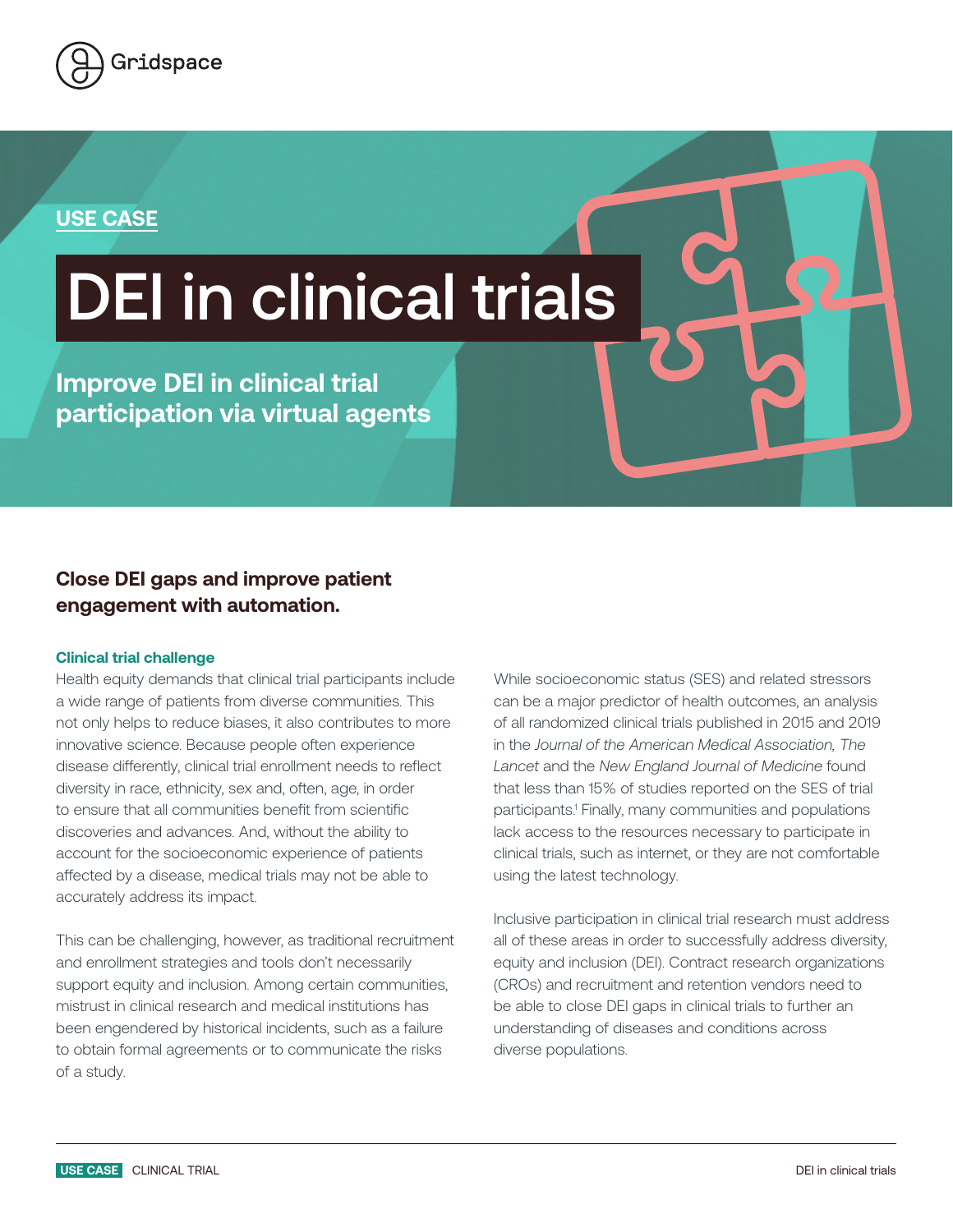

### **USE CASE**

# DEI in clinical trials

**Improve DEI in clinical trial participation via virtual agents**

## **Close DEI gaps and improve patient engagement with automation.**

#### **Clinical trial challenge**

Health equity demands that clinical trial participants include a wide range of patients from diverse communities. This not only helps to reduce biases, it also contributes to more innovative science. Because people often experience disease differently, clinical trial enrollment needs to reflect diversity in race, ethnicity, sex and, often, age, in order to ensure that all communities benefit from scientific discoveries and advances. And, without the ability to account for the socioeconomic experience of patients affected by a disease, medical trials may not be able to accurately address its impact.

This can be challenging, however, as traditional recruitment and enrollment strategies and tools don't necessarily support equity and inclusion. Among certain communities, mistrust in clinical research and medical institutions has been engendered by historical incidents, such as a failure to obtain formal agreements or to communicate the risks of a study.

While socioeconomic status (SES) and related stressors can be a major predictor of health outcomes, an analysis of all randomized clinical trials published in 2015 and 2019 in the *Journal of the American Medical Association, The Lancet* and the *New England Journal of Medicine* found that less than 15% of studies reported on the SES of trial participants.1 Finally, many communities and populations lack access to the resources necessary to participate in clinical trials, such as internet, or they are not comfortable using the latest technology.

Inclusive participation in clinical trial research must address all of these areas in order to successfully address diversity, equity and inclusion (DEI). Contract research organizations (CROs) and recruitment and retention vendors need to be able to close DEI gaps in clinical trials to further an understanding of diseases and conditions across diverse populations.